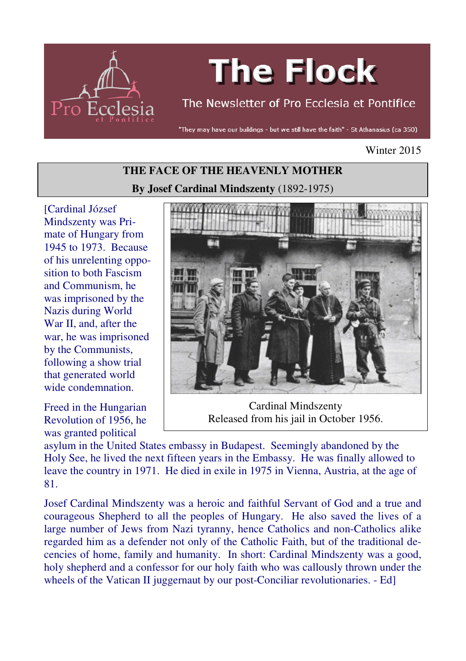

# **The Flock**

# The Newsletter of Pro Ecclesia et Pontifice

"They may have our buildings - but we still have the faith" - St Athanasius (ca 350)

#### Winter 2015

# **THE FACE OF THE HEAVENLY MOTHER By Josef Cardinal Mindszenty** (1892-1975)

[Cardinal József Mindszenty was Primate of Hungary from 1945 to 1973. Because of his unrelenting opposition to both Fascism and Communism, he was imprisoned by the Nazis during World War II, and, after the war, he was imprisoned by the Communists, following a show trial that generated world wide condemnation.

Freed in the Hungarian Revolution of 1956, he was granted political



Cardinal Mindszenty Released from his jail in October 1956.

asylum in the United States embassy in Budapest. Seemingly abandoned by the Holy See, he lived the next fifteen years in the Embassy. He was finally allowed to leave the country in 1971. He died in exile in 1975 in Vienna, Austria, at the age of 81.

Josef Cardinal Mindszenty was a heroic and faithful Servant of God and a true and courageous Shepherd to all the peoples of Hungary. He also saved the lives of a large number of Jews from Nazi tyranny, hence Catholics and non-Catholics alike regarded him as a defender not only of the Catholic Faith, but of the traditional decencies of home, family and humanity. In short: Cardinal Mindszenty was a good, holy shepherd and a confessor for our holy faith who was callously thrown under the wheels of the Vatican II juggernaut by our post-Conciliar revolutionaries. - Ed]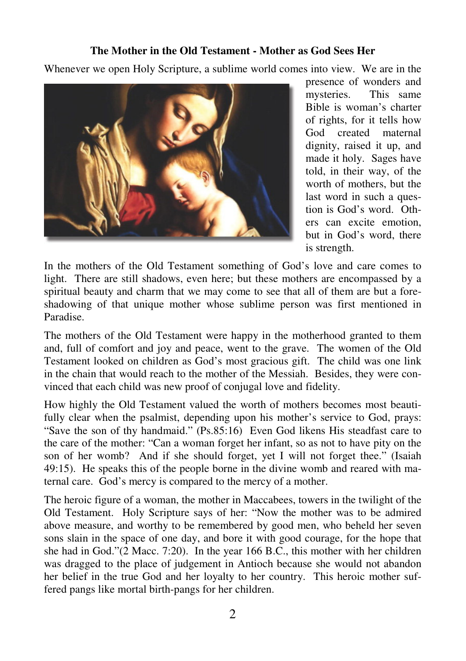## **The Mother in the Old Testament - Mother as God Sees Her**

Whenever we open Holy Scripture, a sublime world comes into view. We are in the



presence of wonders and mysteries. This same Bible is woman's charter of rights, for it tells how God created maternal dignity, raised it up, and made it holy. Sages have told, in their way, of the worth of mothers, but the last word in such a question is God's word. Others can excite emotion, but in God's word, there is strength.

In the mothers of the Old Testament something of God's love and care comes to light. There are still shadows, even here; but these mothers are encompassed by a spiritual beauty and charm that we may come to see that all of them are but a foreshadowing of that unique mother whose sublime person was first mentioned in Paradise.

The mothers of the Old Testament were happy in the motherhood granted to them and, full of comfort and joy and peace, went to the grave. The women of the Old Testament looked on children as God's most gracious gift. The child was one link in the chain that would reach to the mother of the Messiah. Besides, they were convinced that each child was new proof of conjugal love and fidelity.

How highly the Old Testament valued the worth of mothers becomes most beautifully clear when the psalmist, depending upon his mother's service to God, prays: "Save the son of thy handmaid." (Ps.85:16) Even God likens His steadfast care to the care of the mother: "Can a woman forget her infant, so as not to have pity on the son of her womb? And if she should forget, yet I will not forget thee." (Isaiah 49:15). He speaks this of the people borne in the divine womb and reared with maternal care. God's mercy is compared to the mercy of a mother.

The heroic figure of a woman, the mother in Maccabees, towers in the twilight of the Old Testament. Holy Scripture says of her: "Now the mother was to be admired above measure, and worthy to be remembered by good men, who beheld her seven sons slain in the space of one day, and bore it with good courage, for the hope that she had in God."(2 Macc. 7:20). In the year 166 B.C., this mother with her children was dragged to the place of judgement in Antioch because she would not abandon her belief in the true God and her loyalty to her country. This heroic mother suffered pangs like mortal birth-pangs for her children.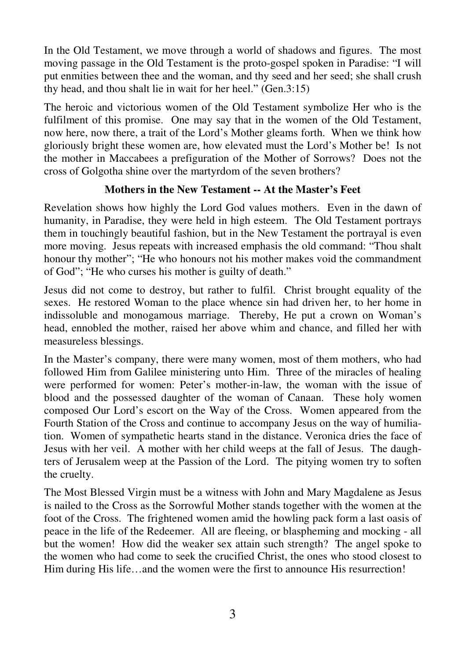In the Old Testament, we move through a world of shadows and figures. The most moving passage in the Old Testament is the proto-gospel spoken in Paradise: "I will put enmities between thee and the woman, and thy seed and her seed; she shall crush thy head, and thou shalt lie in wait for her heel." (Gen.3:15)

The heroic and victorious women of the Old Testament symbolize Her who is the fulfilment of this promise. One may say that in the women of the Old Testament, now here, now there, a trait of the Lord's Mother gleams forth. When we think how gloriously bright these women are, how elevated must the Lord's Mother be! Is not the mother in Maccabees a prefiguration of the Mother of Sorrows? Does not the cross of Golgotha shine over the martyrdom of the seven brothers?

# **Mothers in the New Testament -- At the Master's Feet**

Revelation shows how highly the Lord God values mothers. Even in the dawn of humanity, in Paradise, they were held in high esteem. The Old Testament portrays them in touchingly beautiful fashion, but in the New Testament the portrayal is even more moving. Jesus repeats with increased emphasis the old command: "Thou shalt honour thy mother"; "He who honours not his mother makes void the commandment of God"; "He who curses his mother is guilty of death."

Jesus did not come to destroy, but rather to fulfil. Christ brought equality of the sexes. He restored Woman to the place whence sin had driven her, to her home in indissoluble and monogamous marriage. Thereby, He put a crown on Woman's head, ennobled the mother, raised her above whim and chance, and filled her with measureless blessings.

In the Master's company, there were many women, most of them mothers, who had followed Him from Galilee ministering unto Him. Three of the miracles of healing were performed for women: Peter's mother-in-law, the woman with the issue of blood and the possessed daughter of the woman of Canaan. These holy women composed Our Lord's escort on the Way of the Cross. Women appeared from the Fourth Station of the Cross and continue to accompany Jesus on the way of humiliation. Women of sympathetic hearts stand in the distance. Veronica dries the face of Jesus with her veil. A mother with her child weeps at the fall of Jesus. The daughters of Jerusalem weep at the Passion of the Lord. The pitying women try to soften the cruelty.

The Most Blessed Virgin must be a witness with John and Mary Magdalene as Jesus is nailed to the Cross as the Sorrowful Mother stands together with the women at the foot of the Cross. The frightened women amid the howling pack form a last oasis of peace in the life of the Redeemer. All are fleeing, or blaspheming and mocking - all but the women! How did the weaker sex attain such strength? The angel spoke to the women who had come to seek the crucified Christ, the ones who stood closest to Him during His life...and the women were the first to announce His resurrection!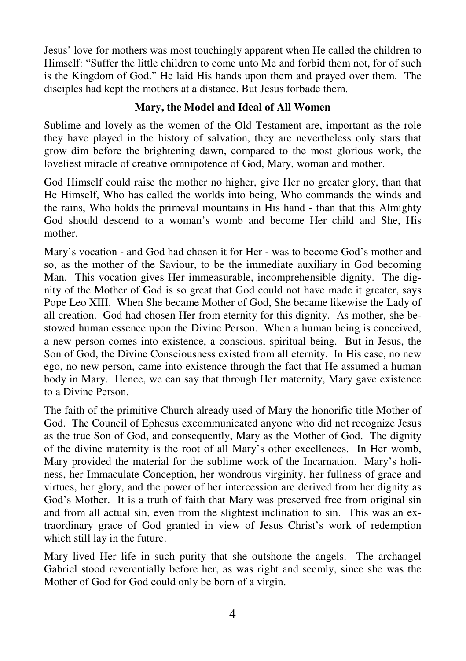Jesus' love for mothers was most touchingly apparent when He called the children to Himself: "Suffer the little children to come unto Me and forbid them not, for of such is the Kingdom of God." He laid His hands upon them and prayed over them. The disciples had kept the mothers at a distance. But Jesus forbade them.

# **Mary, the Model and Ideal of All Women**

Sublime and lovely as the women of the Old Testament are, important as the role they have played in the history of salvation, they are nevertheless only stars that grow dim before the brightening dawn, compared to the most glorious work, the loveliest miracle of creative omnipotence of God, Mary, woman and mother.

God Himself could raise the mother no higher, give Her no greater glory, than that He Himself, Who has called the worlds into being, Who commands the winds and the rains, Who holds the primeval mountains in His hand - than that this Almighty God should descend to a woman's womb and become Her child and She, His mother.

Mary's vocation - and God had chosen it for Her - was to become God's mother and so, as the mother of the Saviour, to be the immediate auxiliary in God becoming Man. This vocation gives Her immeasurable, incomprehensible dignity. The dignity of the Mother of God is so great that God could not have made it greater, says Pope Leo XIII. When She became Mother of God, She became likewise the Lady of all creation. God had chosen Her from eternity for this dignity. As mother, she bestowed human essence upon the Divine Person. When a human being is conceived, a new person comes into existence, a conscious, spiritual being. But in Jesus, the Son of God, the Divine Consciousness existed from all eternity. In His case, no new ego, no new person, came into existence through the fact that He assumed a human body in Mary. Hence, we can say that through Her maternity, Mary gave existence to a Divine Person.

The faith of the primitive Church already used of Mary the honorific title Mother of God. The Council of Ephesus excommunicated anyone who did not recognize Jesus as the true Son of God, and consequently, Mary as the Mother of God. The dignity of the divine maternity is the root of all Mary's other excellences. In Her womb, Mary provided the material for the sublime work of the Incarnation. Mary's holiness, her Immaculate Conception, her wondrous virginity, her fullness of grace and virtues, her glory, and the power of her intercession are derived from her dignity as God's Mother. It is a truth of faith that Mary was preserved free from original sin and from all actual sin, even from the slightest inclination to sin. This was an extraordinary grace of God granted in view of Jesus Christ's work of redemption which still lay in the future.

Mary lived Her life in such purity that she outshone the angels. The archangel Gabriel stood reverentially before her, as was right and seemly, since she was the Mother of God for God could only be born of a virgin.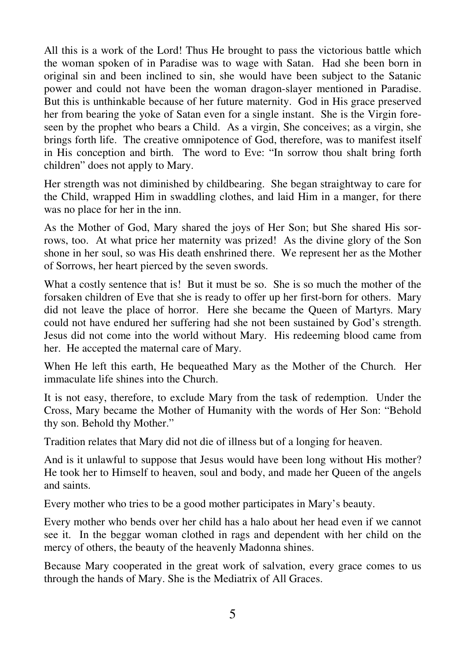All this is a work of the Lord! Thus He brought to pass the victorious battle which the woman spoken of in Paradise was to wage with Satan. Had she been born in original sin and been inclined to sin, she would have been subject to the Satanic power and could not have been the woman dragon-slayer mentioned in Paradise. But this is unthinkable because of her future maternity. God in His grace preserved her from bearing the yoke of Satan even for a single instant. She is the Virgin foreseen by the prophet who bears a Child. As a virgin, She conceives; as a virgin, she brings forth life. The creative omnipotence of God, therefore, was to manifest itself in His conception and birth. The word to Eve: "In sorrow thou shalt bring forth children" does not apply to Mary.

Her strength was not diminished by childbearing. She began straightway to care for the Child, wrapped Him in swaddling clothes, and laid Him in a manger, for there was no place for her in the inn.

As the Mother of God, Mary shared the joys of Her Son; but She shared His sorrows, too. At what price her maternity was prized! As the divine glory of the Son shone in her soul, so was His death enshrined there. We represent her as the Mother of Sorrows, her heart pierced by the seven swords.

What a costly sentence that is! But it must be so. She is so much the mother of the forsaken children of Eve that she is ready to offer up her first-born for others. Mary did not leave the place of horror. Here she became the Queen of Martyrs. Mary could not have endured her suffering had she not been sustained by God's strength. Jesus did not come into the world without Mary. His redeeming blood came from her. He accepted the maternal care of Mary.

When He left this earth, He bequeathed Mary as the Mother of the Church. Her immaculate life shines into the Church.

It is not easy, therefore, to exclude Mary from the task of redemption. Under the Cross, Mary became the Mother of Humanity with the words of Her Son: "Behold thy son. Behold thy Mother."

Tradition relates that Mary did not die of illness but of a longing for heaven.

And is it unlawful to suppose that Jesus would have been long without His mother? He took her to Himself to heaven, soul and body, and made her Queen of the angels and saints.

Every mother who tries to be a good mother participates in Mary's beauty.

Every mother who bends over her child has a halo about her head even if we cannot see it. In the beggar woman clothed in rags and dependent with her child on the mercy of others, the beauty of the heavenly Madonna shines.

Because Mary cooperated in the great work of salvation, every grace comes to us through the hands of Mary. She is the Mediatrix of All Graces.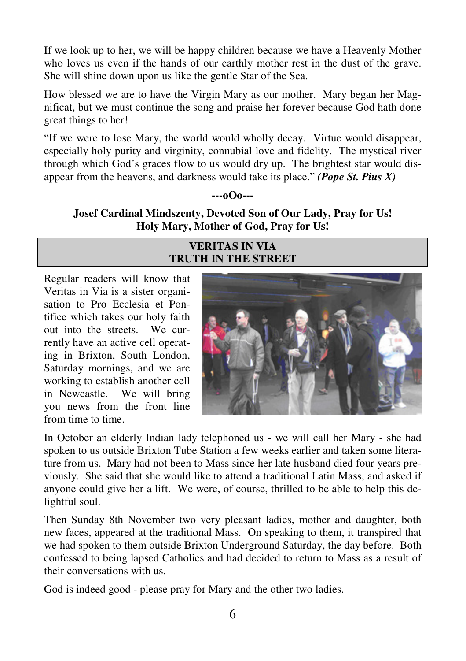If we look up to her, we will be happy children because we have a Heavenly Mother who loves us even if the hands of our earthly mother rest in the dust of the grave. She will shine down upon us like the gentle Star of the Sea.

How blessed we are to have the Virgin Mary as our mother. Mary began her Magnificat, but we must continue the song and praise her forever because God hath done great things to her!

"If we were to lose Mary, the world would wholly decay. Virtue would disappear, especially holy purity and virginity, connubial love and fidelity. The mystical river through which God's graces flow to us would dry up. The brightest star would disappear from the heavens, and darkness would take its place." *(Pope St. Pius X)* 

#### **---oOo---**

**Josef Cardinal Mindszenty, Devoted Son of Our Lady, Pray for Us! Holy Mary, Mother of God, Pray for Us!** 

## **VERITAS IN VIA TRUTH IN THE STREET**

Regular readers will know that Veritas in Via is a sister organisation to Pro Ecclesia et Pontifice which takes our holy faith out into the streets. We currently have an active cell operating in Brixton, South London, Saturday mornings, and we are working to establish another cell in Newcastle. We will bring you news from the front line from time to time.



In October an elderly Indian lady telephoned us - we will call her Mary - she had spoken to us outside Brixton Tube Station a few weeks earlier and taken some literature from us. Mary had not been to Mass since her late husband died four years previously. She said that she would like to attend a traditional Latin Mass, and asked if anyone could give her a lift. We were, of course, thrilled to be able to help this delightful soul.

Then Sunday 8th November two very pleasant ladies, mother and daughter, both new faces, appeared at the traditional Mass. On speaking to them, it transpired that we had spoken to them outside Brixton Underground Saturday, the day before. Both confessed to being lapsed Catholics and had decided to return to Mass as a result of their conversations with us.

God is indeed good - please pray for Mary and the other two ladies.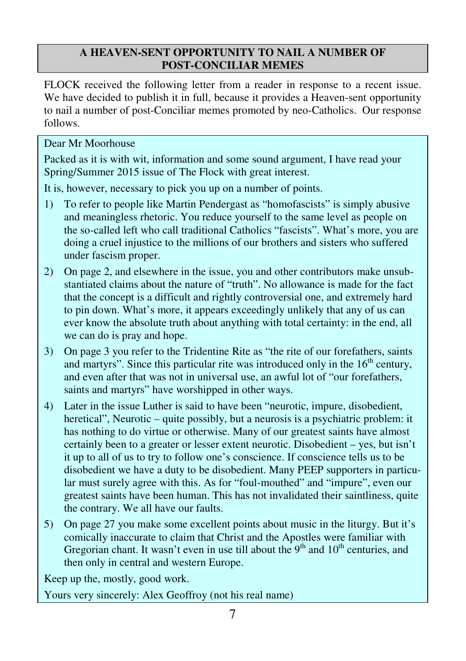# **A HEAVEN-SENT OPPORTUNITY TO NAIL A NUMBER OF POST-CONCILIAR MEMES**

FLOCK received the following letter from a reader in response to a recent issue. We have decided to publish it in full, because it provides a Heaven-sent opportunity to nail a number of post-Conciliar memes promoted by neo-Catholics. Our response follows.

# Dear Mr Moorhouse

Packed as it is with wit, information and some sound argument, I have read your Spring/Summer 2015 issue of The Flock with great interest.

It is, however, necessary to pick you up on a number of points.

- 1) To refer to people like Martin Pendergast as "homofascists" is simply abusive and meaningless rhetoric. You reduce yourself to the same level as people on the so-called left who call traditional Catholics "fascists". What's more, you are doing a cruel injustice to the millions of our brothers and sisters who suffered under fascism proper.
- 2) On page 2, and elsewhere in the issue, you and other contributors make unsubstantiated claims about the nature of "truth". No allowance is made for the fact that the concept is a difficult and rightly controversial one, and extremely hard to pin down. What's more, it appears exceedingly unlikely that any of us can ever know the absolute truth about anything with total certainty: in the end, all we can do is pray and hope.
- 3) On page 3 you refer to the Tridentine Rite as "the rite of our forefathers, saints and martyrs". Since this particular rite was introduced only in the  $16<sup>th</sup>$  century, and even after that was not in universal use, an awful lot of "our forefathers, saints and martyrs" have worshipped in other ways.
- 4) Later in the issue Luther is said to have been "neurotic, impure, disobedient, heretical", Neurotic – quite possibly, but a neurosis is a psychiatric problem: it has nothing to do virtue or otherwise. Many of our greatest saints have almost certainly been to a greater or lesser extent neurotic. Disobedient – yes, but isn't it up to all of us to try to follow one's conscience. If conscience tells us to be disobedient we have a duty to be disobedient. Many PEEP supporters in particular must surely agree with this. As for "foul-mouthed" and "impure", even our greatest saints have been human. This has not invalidated their saintliness, quite the contrary. We all have our faults.
- 5) On page 27 you make some excellent points about music in the liturgy. But it's comically inaccurate to claim that Christ and the Apostles were familiar with Gregorian chant. It wasn't even in use till about the  $9<sup>th</sup>$  and  $10<sup>th</sup>$  centuries, and then only in central and western Europe.

Keep up the, mostly, good work.

Yours very sincerely: Alex Geoffroy (not his real name)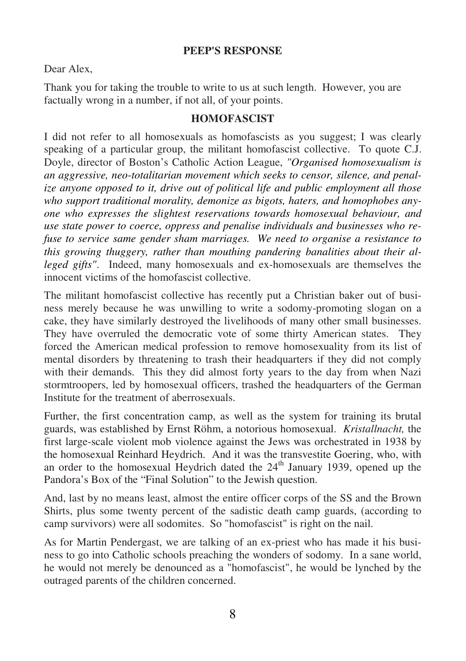#### **PEEP'S RESPONSE**

Dear Alex,

Thank you for taking the trouble to write to us at such length. However, you are factually wrong in a number, if not all, of your points.

#### **HOMOFASCIST**

I did not refer to all homosexuals as homofascists as you suggest; I was clearly speaking of a particular group, the militant homofascist collective. To quote C.J. Doyle, director of Boston's Catholic Action League, *"Organised homosexualism is an aggressive, neo-totalitarian movement which seeks to censor, silence, and penalize anyone opposed to it, drive out of political life and public employment all those who support traditional morality, demonize as bigots, haters, and homophobes anyone who expresses the slightest reservations towards homosexual behaviour, and use state power to coerce, oppress and penalise individuals and businesses who refuse to service same gender sham marriages. We need to organise a resistance to this growing thuggery, rather than mouthing pandering banalities about their alleged gifts"*. Indeed, many homosexuals and ex-homosexuals are themselves the innocent victims of the homofascist collective.

The militant homofascist collective has recently put a Christian baker out of business merely because he was unwilling to write a sodomy-promoting slogan on a cake, they have similarly destroyed the livelihoods of many other small businesses. They have overruled the democratic vote of some thirty American states. They forced the American medical profession to remove homosexuality from its list of mental disorders by threatening to trash their headquarters if they did not comply with their demands. This they did almost forty years to the day from when Nazi stormtroopers, led by homosexual officers, trashed the headquarters of the German Institute for the treatment of aberrosexuals.

Further, the first concentration camp, as well as the system for training its brutal guards, was established by Ernst Röhm, a notorious homosexual. *Kristallnacht,* the first large-scale violent mob violence against the Jews was orchestrated in 1938 by the homosexual Reinhard Heydrich. And it was the transvestite Goering, who, with an order to the homosexual Heydrich dated the  $24<sup>th</sup>$  January 1939, opened up the Pandora's Box of the "Final Solution" to the Jewish question.

And, last by no means least, almost the entire officer corps of the SS and the Brown Shirts, plus some twenty percent of the sadistic death camp guards, (according to camp survivors) were all sodomites. So "homofascist" is right on the nail.

As for Martin Pendergast, we are talking of an ex-priest who has made it his business to go into Catholic schools preaching the wonders of sodomy. In a sane world, he would not merely be denounced as a "homofascist", he would be lynched by the outraged parents of the children concerned.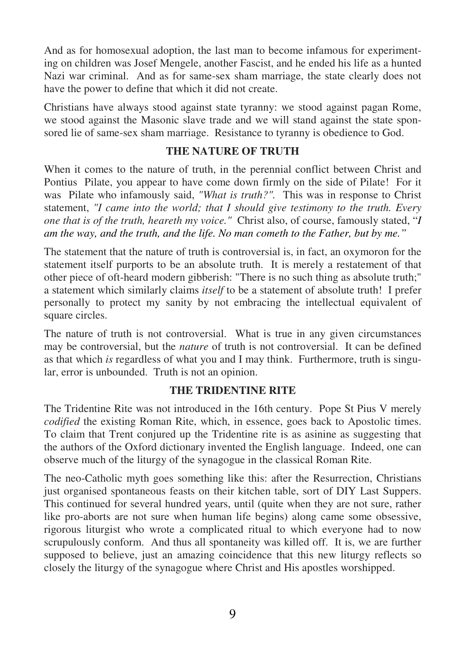And as for homosexual adoption, the last man to become infamous for experimenting on children was Josef Mengele, another Fascist, and he ended his life as a hunted Nazi war criminal. And as for same-sex sham marriage, the state clearly does not have the power to define that which it did not create.

Christians have always stood against state tyranny: we stood against pagan Rome, we stood against the Masonic slave trade and we will stand against the state sponsored lie of same-sex sham marriage. Resistance to tyranny is obedience to God.

## **THE NATURE OF TRUTH**

When it comes to the nature of truth, in the perennial conflict between Christ and Pontius Pilate, you appear to have come down firmly on the side of Pilate! For it was Pilate who infamously said, *"What is truth?".* This was in response to Christ statement, *"I came into the world; that I should give testimony to the truth. Every one that is of the truth, heareth my voice."* Christ also, of course, famously stated, "*I am the way, and the truth, and the life. No man cometh to the Father, but by me."*

The statement that the nature of truth is controversial is, in fact, an oxymoron for the statement itself purports to be an absolute truth. It is merely a restatement of that other piece of oft-heard modern gibberish: "There is no such thing as absolute truth;" a statement which similarly claims *itself* to be a statement of absolute truth! I prefer personally to protect my sanity by not embracing the intellectual equivalent of square circles.

The nature of truth is not controversial. What is true in any given circumstances may be controversial, but the *nature* of truth is not controversial. It can be defined as that which *is* regardless of what you and I may think. Furthermore, truth is singular, error is unbounded. Truth is not an opinion.

#### **THE TRIDENTINE RITE**

The Tridentine Rite was not introduced in the 16th century. Pope St Pius V merely *codified* the existing Roman Rite, which, in essence, goes back to Apostolic times. To claim that Trent conjured up the Tridentine rite is as asinine as suggesting that the authors of the Oxford dictionary invented the English language. Indeed, one can observe much of the liturgy of the synagogue in the classical Roman Rite.

The neo-Catholic myth goes something like this: after the Resurrection, Christians just organised spontaneous feasts on their kitchen table, sort of DIY Last Suppers. This continued for several hundred years, until (quite when they are not sure, rather like pro-aborts are not sure when human life begins) along came some obsessive, rigorous liturgist who wrote a complicated ritual to which everyone had to now scrupulously conform. And thus all spontaneity was killed off. It is, we are further supposed to believe, just an amazing coincidence that this new liturgy reflects so closely the liturgy of the synagogue where Christ and His apostles worshipped.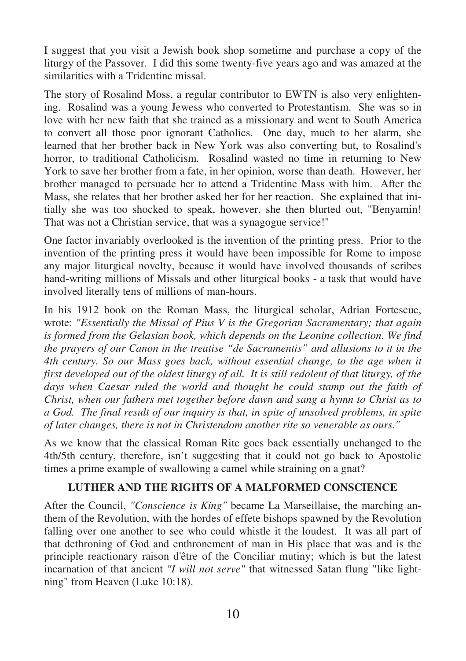I suggest that you visit a Jewish book shop sometime and purchase a copy of the liturgy of the Passover. I did this some twenty-five years ago and was amazed at the similarities with a Tridentine missal.

The story of Rosalind Moss, a regular contributor to EWTN is also very enlightening. Rosalind was a young Jewess who converted to Protestantism. She was so in love with her new faith that she trained as a missionary and went to South America to convert all those poor ignorant Catholics. One day, much to her alarm, she learned that her brother back in New York was also converting but, to Rosalind's horror, to traditional Catholicism. Rosalind wasted no time in returning to New York to save her brother from a fate, in her opinion, worse than death. However, her brother managed to persuade her to attend a Tridentine Mass with him. After the Mass, she relates that her brother asked her for her reaction. She explained that initially she was too shocked to speak, however, she then blurted out, "Benyamin! That was not a Christian service, that was a synagogue service!"

One factor invariably overlooked is the invention of the printing press. Prior to the invention of the printing press it would have been impossible for Rome to impose any major liturgical novelty, because it would have involved thousands of scribes hand-writing millions of Missals and other liturgical books - a task that would have involved literally tens of millions of man-hours.

In his 1912 book on the Roman Mass, the liturgical scholar, Adrian Fortescue, wrote: *"Essentially the Missal of Pius V is the Gregorian Sacramentary; that again is formed from the Gelasian book, which depends on the Leonine collection. We find the prayers of our Canon in the treatise "de Sacramentis" and allusions to it in the 4th century. So our Mass goes back, without essential change, to the age when it first developed out of the oldest liturgy of all. It is still redolent of that liturgy, of the days when Caesar ruled the world and thought he could stamp out the faith of Christ, when our fathers met together before dawn and sang a hymn to Christ as to a God. The final result of our inquiry is that, in spite of unsolved problems, in spite of later changes, there is not in Christendom another rite so venerable as ours."* 

As we know that the classical Roman Rite goes back essentially unchanged to the 4th/5th century, therefore, isn't suggesting that it could not go back to Apostolic times a prime example of swallowing a camel while straining on a gnat?

# **LUTHER AND THE RIGHTS OF A MALFORMED CONSCIENCE**

After the Council, *"Conscience is King"* became La Marseillaise, the marching anthem of the Revolution, with the hordes of effete bishops spawned by the Revolution falling over one another to see who could whistle it the loudest. It was all part of that dethroning of God and enthronement of man in His place that was and is the principle reactionary raison d'être of the Conciliar mutiny; which is but the latest incarnation of that ancient *"I will not serve"* that witnessed Satan flung "like lightning" from Heaven (Luke 10:18).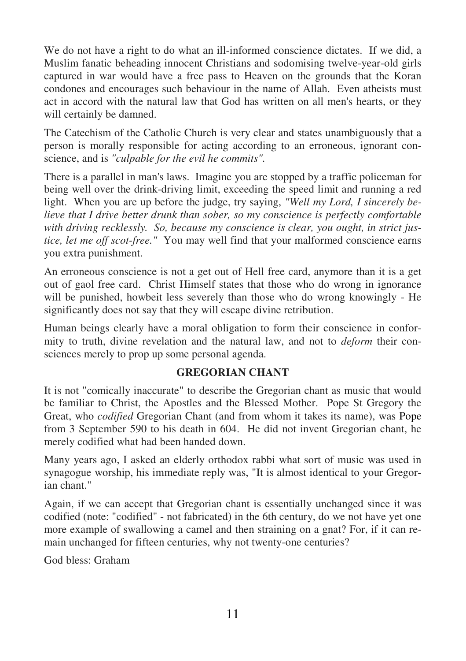We do not have a right to do what an ill-informed conscience dictates. If we did, a Muslim fanatic beheading innocent Christians and sodomising twelve-year-old girls captured in war would have a free pass to Heaven on the grounds that the Koran condones and encourages such behaviour in the name of Allah. Even atheists must act in accord with the natural law that God has written on all men's hearts, or they will certainly be damned.

The Catechism of the Catholic Church is very clear and states unambiguously that a person is morally responsible for acting according to an erroneous, ignorant conscience, and is *"culpable for the evil he commits".*

There is a parallel in man's laws. Imagine you are stopped by a traffic policeman for being well over the drink-driving limit, exceeding the speed limit and running a red light. When you are up before the judge, try saying, *"Well my Lord, I sincerely believe that I drive better drunk than sober, so my conscience is perfectly comfortable with driving recklessly. So, because my conscience is clear, you ought, in strict justice, let me off scot-free."* You may well find that your malformed conscience earns you extra punishment.

An erroneous conscience is not a get out of Hell free card, anymore than it is a get out of gaol free card. Christ Himself states that those who do wrong in ignorance will be punished, howbeit less severely than those who do wrong knowingly - He significantly does not say that they will escape divine retribution.

Human beings clearly have a moral obligation to form their conscience in conformity to truth, divine revelation and the natural law, and not to *deform* their consciences merely to prop up some personal agenda.

# **GREGORIAN CHANT**

It is not "comically inaccurate" to describe the Gregorian chant as music that would be familiar to Christ, the Apostles and the Blessed Mother. Pope St Gregory the Great, who *codified* Gregorian Chant (and from whom it takes its name), was Pope from 3 September 590 to his death in 604. He did not invent Gregorian chant, he merely codified what had been handed down.

Many years ago, I asked an elderly orthodox rabbi what sort of music was used in synagogue worship, his immediate reply was, "It is almost identical to your Gregorian chant."

Again, if we can accept that Gregorian chant is essentially unchanged since it was codified (note: "codified" - not fabricated) in the 6th century, do we not have yet one more example of swallowing a camel and then straining on a gnat? For, if it can remain unchanged for fifteen centuries, why not twenty-one centuries?

God bless: Graham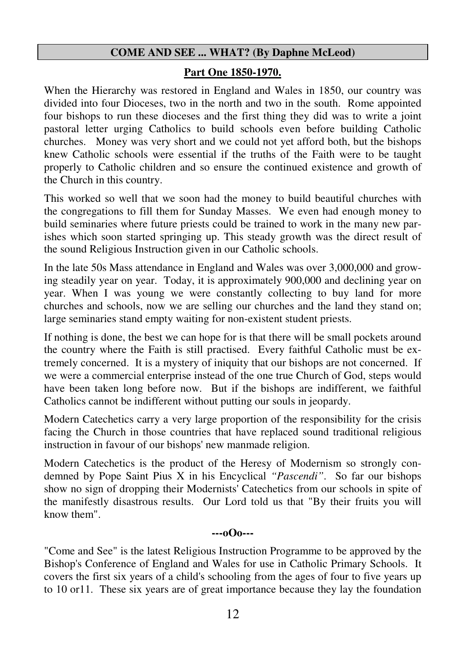#### **COME AND SEE ... WHAT? (By Daphne McLeod)**

#### **Part One 1850-1970.**

When the Hierarchy was restored in England and Wales in 1850, our country was divided into four Dioceses, two in the north and two in the south. Rome appointed four bishops to run these dioceses and the first thing they did was to write a joint pastoral letter urging Catholics to build schools even before building Catholic churches. Money was very short and we could not yet afford both, but the bishops knew Catholic schools were essential if the truths of the Faith were to be taught properly to Catholic children and so ensure the continued existence and growth of the Church in this country.

This worked so well that we soon had the money to build beautiful churches with the congregations to fill them for Sunday Masses. We even had enough money to build seminaries where future priests could be trained to work in the many new parishes which soon started springing up. This steady growth was the direct result of the sound Religious Instruction given in our Catholic schools.

In the late 50s Mass attendance in England and Wales was over 3,000,000 and growing steadily year on year. Today, it is approximately 900,000 and declining year on year. When I was young we were constantly collecting to buy land for more churches and schools, now we are selling our churches and the land they stand on; large seminaries stand empty waiting for non-existent student priests.

If nothing is done, the best we can hope for is that there will be small pockets around the country where the Faith is still practised. Every faithful Catholic must be extremely concerned. It is a mystery of iniquity that our bishops are not concerned. If we were a commercial enterprise instead of the one true Church of God, steps would have been taken long before now. But if the bishops are indifferent, we faithful Catholics cannot be indifferent without putting our souls in jeopardy.

Modern Catechetics carry a very large proportion of the responsibility for the crisis facing the Church in those countries that have replaced sound traditional religious instruction in favour of our bishops' new manmade religion.

Modern Catechetics is the product of the Heresy of Modernism so strongly condemned by Pope Saint Pius X in his Encyclical *"Pascendi"*. So far our bishops show no sign of dropping their Modernists' Catechetics from our schools in spite of the manifestly disastrous results. Our Lord told us that "By their fruits you will know them".

#### **---oOo---**

"Come and See" is the latest Religious Instruction Programme to be approved by the Bishop's Conference of England and Wales for use in Catholic Primary Schools. It covers the first six years of a child's schooling from the ages of four to five years up to 10 or11. These six years are of great importance because they lay the foundation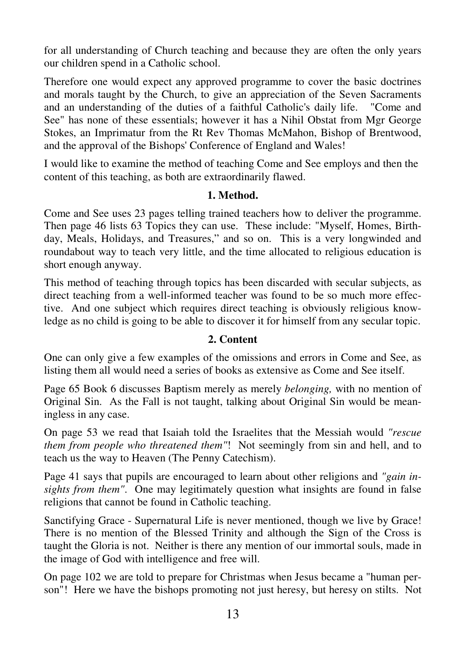for all understanding of Church teaching and because they are often the only years our children spend in a Catholic school.

Therefore one would expect any approved programme to cover the basic doctrines and morals taught by the Church, to give an appreciation of the Seven Sacraments and an understanding of the duties of a faithful Catholic's daily life. "Come and See" has none of these essentials; however it has a Nihil Obstat from Mgr George Stokes, an Imprimatur from the Rt Rev Thomas McMahon, Bishop of Brentwood, and the approval of the Bishops' Conference of England and Wales!

I would like to examine the method of teaching Come and See employs and then the content of this teaching, as both are extraordinarily flawed.

#### **1. Method.**

Come and See uses 23 pages telling trained teachers how to deliver the programme. Then page 46 lists 63 Topics they can use. These include: "Myself, Homes, Birthday, Meals, Holidays, and Treasures," and so on. This is a very longwinded and roundabout way to teach very little, and the time allocated to religious education is short enough anyway.

This method of teaching through topics has been discarded with secular subjects, as direct teaching from a well-informed teacher was found to be so much more effective. And one subject which requires direct teaching is obviously religious knowledge as no child is going to be able to discover it for himself from any secular topic.

#### **2. Content**

One can only give a few examples of the omissions and errors in Come and See, as listing them all would need a series of books as extensive as Come and See itself.

Page 65 Book 6 discusses Baptism merely as merely *belonging,* with no mention of Original Sin. As the Fall is not taught, talking about Original Sin would be meaningless in any case.

On page 53 we read that Isaiah told the Israelites that the Messiah would *"rescue them from people who threatened them"*! Not seemingly from sin and hell, and to teach us the way to Heaven (The Penny Catechism).

Page 41 says that pupils are encouraged to learn about other religions and *"gain insights from them"*. One may legitimately question what insights are found in false religions that cannot be found in Catholic teaching.

Sanctifying Grace - Supernatural Life is never mentioned, though we live by Grace! There is no mention of the Blessed Trinity and although the Sign of the Cross is taught the Gloria is not. Neither is there any mention of our immortal souls, made in the image of God with intelligence and free will.

On page 102 we are told to prepare for Christmas when Jesus became a "human person"! Here we have the bishops promoting not just heresy, but heresy on stilts. Not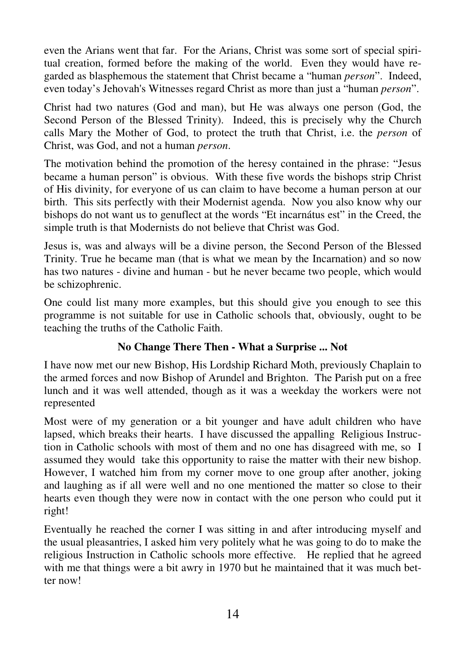even the Arians went that far. For the Arians, Christ was some sort of special spiritual creation, formed before the making of the world. Even they would have regarded as blasphemous the statement that Christ became a "human *person*". Indeed, even today's Jehovah's Witnesses regard Christ as more than just a "human *person*".

Christ had two natures (God and man), but He was always one person (God, the Second Person of the Blessed Trinity). Indeed, this is precisely why the Church calls Mary the Mother of God, to protect the truth that Christ, i.e. the *person* of Christ, was God, and not a human *person*.

The motivation behind the promotion of the heresy contained in the phrase: "Jesus became a human person" is obvious. With these five words the bishops strip Christ of His divinity, for everyone of us can claim to have become a human person at our birth. This sits perfectly with their Modernist agenda. Now you also know why our bishops do not want us to genuflect at the words "Et incarnátus est" in the Creed, the simple truth is that Modernists do not believe that Christ was God.

Jesus is, was and always will be a divine person, the Second Person of the Blessed Trinity. True he became man (that is what we mean by the Incarnation) and so now has two natures - divine and human - but he never became two people, which would be schizophrenic.

One could list many more examples, but this should give you enough to see this programme is not suitable for use in Catholic schools that, obviously, ought to be teaching the truths of the Catholic Faith.

# **No Change There Then - What a Surprise ... Not**

I have now met our new Bishop, His Lordship Richard Moth, previously Chaplain to the armed forces and now Bishop of Arundel and Brighton. The Parish put on a free lunch and it was well attended, though as it was a weekday the workers were not represented

Most were of my generation or a bit younger and have adult children who have lapsed, which breaks their hearts. I have discussed the appalling Religious Instruction in Catholic schools with most of them and no one has disagreed with me, so I assumed they would take this opportunity to raise the matter with their new bishop. However, I watched him from my corner move to one group after another, joking and laughing as if all were well and no one mentioned the matter so close to their hearts even though they were now in contact with the one person who could put it right!

Eventually he reached the corner I was sitting in and after introducing myself and the usual pleasantries, I asked him very politely what he was going to do to make the religious Instruction in Catholic schools more effective. He replied that he agreed with me that things were a bit awry in 1970 but he maintained that it was much better now!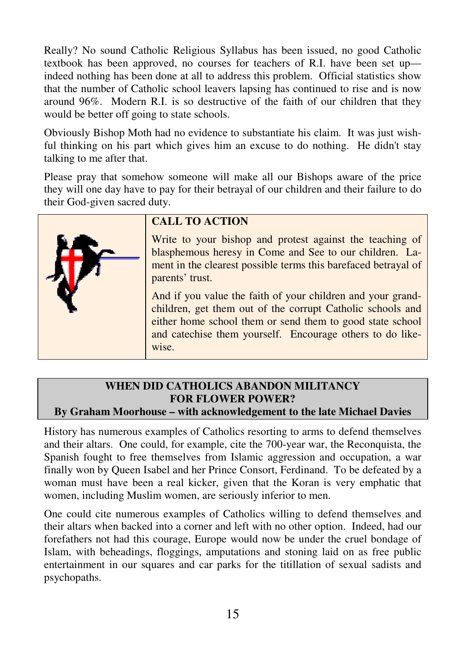Really? No sound Catholic Religious Syllabus has been issued, no good Catholic textbook has been approved, no courses for teachers of R.I. have been set up indeed nothing has been done at all to address this problem. Official statistics show that the number of Catholic school leavers lapsing has continued to rise and is now around 96%. Modern R.I. is so destructive of the faith of our children that they would be better off going to state schools.

Obviously Bishop Moth had no evidence to substantiate his claim. It was just wishful thinking on his part which gives him an excuse to do nothing. He didn't stay talking to me after that.

Please pray that somehow someone will make all our Bishops aware of the price they will one day have to pay for their betrayal of our children and their failure to do their God-given sacred duty.



# **CALL TO ACTION**

Write to your bishop and protest against the teaching of blasphemous heresy in Come and See to our children. Lament in the clearest possible terms this barefaced betrayal of parents' trust.

And if you value the faith of your children and your grandchildren, get them out of the corrupt Catholic schools and either home school them or send them to good state school and catechise them yourself. Encourage others to do likewise.

#### **WHEN DID CATHOLICS ABANDON MILITANCY FOR FLOWER POWER? By Graham Moorhouse – with acknowledgement to the late Michael Davies**

History has numerous examples of Catholics resorting to arms to defend themselves and their altars. One could, for example, cite the 700-year war, the Reconquista, the Spanish fought to free themselves from Islamic aggression and occupation, a war finally won by Queen Isabel and her Prince Consort, Ferdinand. To be defeated by a woman must have been a real kicker, given that the Koran is very emphatic that women, including Muslim women, are seriously inferior to men.

One could cite numerous examples of Catholics willing to defend themselves and their altars when backed into a corner and left with no other option. Indeed, had our forefathers not had this courage, Europe would now be under the cruel bondage of Islam, with beheadings, floggings, amputations and stoning laid on as free public entertainment in our squares and car parks for the titillation of sexual sadists and psychopaths.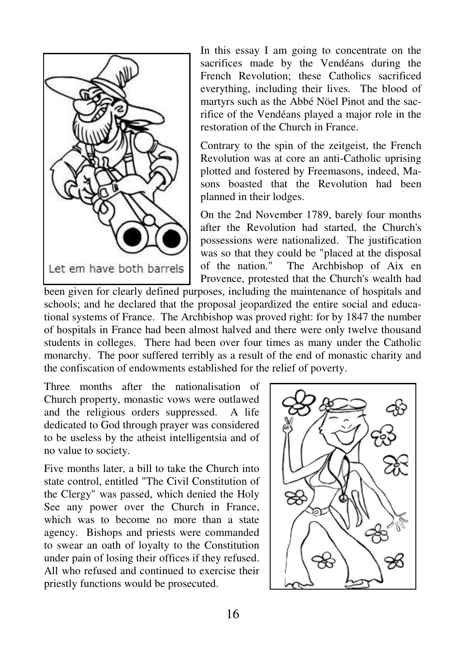

In this essay I am going to concentrate on the sacrifices made by the Vendéans during the French Revolution; these Catholics sacrificed everything, including their lives. The blood of martyrs such as the Abbé Nöel Pinot and the sacrifice of the Vendéans played a major role in the restoration of the Church in France.

Contrary to the spin of the zeitgeist, the French Revolution was at core an anti-Catholic uprising plotted and fostered by Freemasons, indeed, Masons boasted that the Revolution had been planned in their lodges.

On the 2nd November 1789, barely four months after the Revolution had started, the Church's possessions were nationalized. The justification was so that they could be "placed at the disposal of the nation." The Archbishop of Aix en Provence, protested that the Church's wealth had

been given for clearly defined purposes, including the maintenance of hospitals and schools; and he declared that the proposal jeopardized the entire social and educational systems of France. The Archbishop was proved right: for by 1847 the number of hospitals in France had been almost halved and there were only twelve thousand students in colleges. There had been over four times as many under the Catholic monarchy. The poor suffered terribly as a result of the end of monastic charity and the confiscation of endowments established for the relief of poverty.

Three months after the nationalisation of Church property, monastic vows were outlawed and the religious orders suppressed. A life dedicated to God through prayer was considered to be useless by the atheist intelligentsia and of no value to society.

Five months later, a bill to take the Church into state control, entitled "The Civil Constitution of the Clergy" was passed, which denied the Holy See any power over the Church in France, which was to become no more than a state agency. Bishops and priests were commanded to swear an oath of loyalty to the Constitution under pain of losing their offices if they refused. All who refused and continued to exercise their priestly functions would be prosecuted.

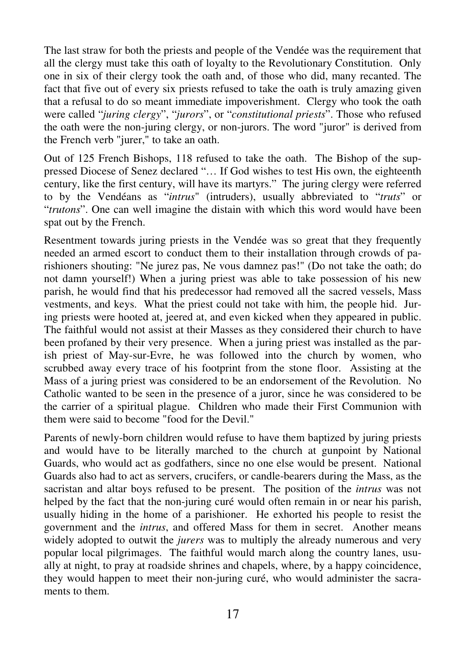The last straw for both the priests and people of the Vendée was the requirement that all the clergy must take this oath of loyalty to the Revolutionary Constitution. Only one in six of their clergy took the oath and, of those who did, many recanted. The fact that five out of every six priests refused to take the oath is truly amazing given that a refusal to do so meant immediate impoverishment. Clergy who took the oath were called "*juring clergy*", "*jurors*", or "*constitutional priests*". Those who refused the oath were the non-juring clergy, or non-jurors. The word "juror" is derived from the French verb "jurer," to take an oath.

Out of 125 French Bishops, 118 refused to take the oath. The Bishop of the suppressed Diocese of Senez declared "… If God wishes to test His own, the eighteenth century, like the first century, will have its martyrs." The juring clergy were referred to by the Vendéans as "*intrus*" (intruders), usually abbreviated to "*truts*" or "*trutons*". One can well imagine the distain with which this word would have been spat out by the French.

Resentment towards juring priests in the Vendée was so great that they frequently needed an armed escort to conduct them to their installation through crowds of parishioners shouting: "Ne jurez pas, Ne vous damnez pas!" (Do not take the oath; do not damn yourself!) When a juring priest was able to take possession of his new parish, he would find that his predecessor had removed all the sacred vessels, Mass vestments, and keys. What the priest could not take with him, the people hid. Juring priests were hooted at, jeered at, and even kicked when they appeared in public. The faithful would not assist at their Masses as they considered their church to have been profaned by their very presence. When a juring priest was installed as the parish priest of May-sur-Evre, he was followed into the church by women, who scrubbed away every trace of his footprint from the stone floor. Assisting at the Mass of a juring priest was considered to be an endorsement of the Revolution. No Catholic wanted to be seen in the presence of a juror, since he was considered to be the carrier of a spiritual plague. Children who made their First Communion with them were said to become "food for the Devil."

Parents of newly-born children would refuse to have them baptized by juring priests and would have to be literally marched to the church at gunpoint by National Guards, who would act as godfathers, since no one else would be present. National Guards also had to act as servers, crucifers, or candle-bearers during the Mass, as the sacristan and altar boys refused to be present. The position of the *intrus* was not helped by the fact that the non-juring curé would often remain in or near his parish, usually hiding in the home of a parishioner. He exhorted his people to resist the government and the *intrus*, and offered Mass for them in secret. Another means widely adopted to outwit the *jurers* was to multiply the already numerous and very popular local pilgrimages. The faithful would march along the country lanes, usually at night, to pray at roadside shrines and chapels, where, by a happy coincidence, they would happen to meet their non-juring curé, who would administer the sacraments to them.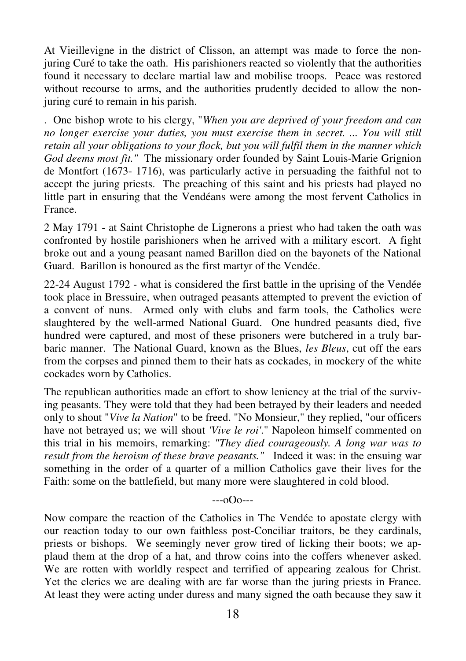At Vieillevigne in the district of Clisson, an attempt was made to force the nonjuring Curé to take the oath. His parishioners reacted so violently that the authorities found it necessary to declare martial law and mobilise troops. Peace was restored without recourse to arms, and the authorities prudently decided to allow the nonjuring curé to remain in his parish.

. One bishop wrote to his clergy, "*When you are deprived of your freedom and can no longer exercise your duties, you must exercise them in secret. ... You will still retain all your obligations to your flock, but you will fulfil them in the manner which God deems most fit."* The missionary order founded by Saint Louis-Marie Grignion de Montfort (1673- 1716), was particularly active in persuading the faithful not to accept the juring priests. The preaching of this saint and his priests had played no little part in ensuring that the Vendéans were among the most fervent Catholics in France.

2 May 1791 - at Saint Christophe de Lignerons a priest who had taken the oath was confronted by hostile parishioners when he arrived with a military escort. A fight broke out and a young peasant named Barillon died on the bayonets of the National Guard. Barillon is honoured as the first martyr of the Vendée.

22-24 August 1792 - what is considered the first battle in the uprising of the Vendée took place in Bressuire, when outraged peasants attempted to prevent the eviction of a convent of nuns. Armed only with clubs and farm tools, the Catholics were slaughtered by the well-armed National Guard. One hundred peasants died, five hundred were captured, and most of these prisoners were butchered in a truly barbaric manner. The National Guard, known as the Blues, *les Bleus*, cut off the ears from the corpses and pinned them to their hats as cockades, in mockery of the white cockades worn by Catholics.

The republican authorities made an effort to show leniency at the trial of the surviving peasants. They were told that they had been betrayed by their leaders and needed only to shout "*Vive la Nation*" to be freed. "No Monsieur," they replied, "our officers have not betrayed us; we will shout *'Vive le roi'*." Napoleon himself commented on this trial in his memoirs, remarking: *"They died courageously. A long war was to result from the heroism of these brave peasants."* Indeed it was: in the ensuing war something in the order of a quarter of a million Catholics gave their lives for the Faith: some on the battlefield, but many more were slaughtered in cold blood.

 $-0$  $0$  $-$ 

Now compare the reaction of the Catholics in The Vendée to apostate clergy with our reaction today to our own faithless post-Conciliar traitors, be they cardinals, priests or bishops. We seemingly never grow tired of licking their boots; we applaud them at the drop of a hat, and throw coins into the coffers whenever asked. We are rotten with worldly respect and terrified of appearing zealous for Christ. Yet the clerics we are dealing with are far worse than the juring priests in France. At least they were acting under duress and many signed the oath because they saw it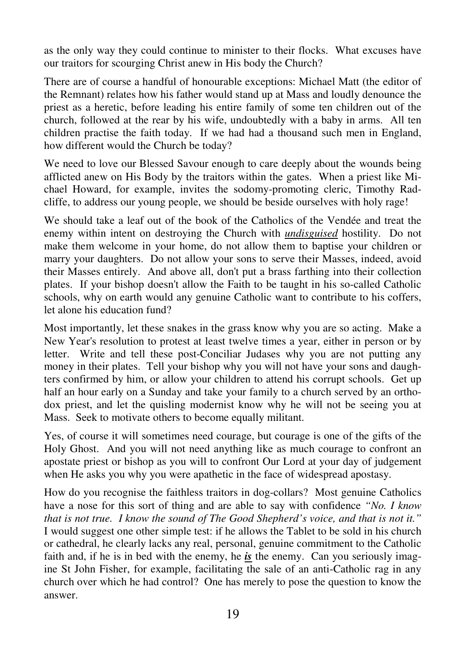as the only way they could continue to minister to their flocks. What excuses have our traitors for scourging Christ anew in His body the Church?

There are of course a handful of honourable exceptions: Michael Matt (the editor of the Remnant) relates how his father would stand up at Mass and loudly denounce the priest as a heretic, before leading his entire family of some ten children out of the church, followed at the rear by his wife, undoubtedly with a baby in arms. All ten children practise the faith today. If we had had a thousand such men in England, how different would the Church be today?

We need to love our Blessed Savour enough to care deeply about the wounds being afflicted anew on His Body by the traitors within the gates. When a priest like Michael Howard, for example, invites the sodomy-promoting cleric, Timothy Radcliffe, to address our young people, we should be beside ourselves with holy rage!

We should take a leaf out of the book of the Catholics of the Vendée and treat the enemy within intent on destroying the Church with *undisguised* hostility. Do not make them welcome in your home, do not allow them to baptise your children or marry your daughters. Do not allow your sons to serve their Masses, indeed, avoid their Masses entirely. And above all, don't put a brass farthing into their collection plates. If your bishop doesn't allow the Faith to be taught in his so-called Catholic schools, why on earth would any genuine Catholic want to contribute to his coffers, let alone his education fund?

Most importantly, let these snakes in the grass know why you are so acting. Make a New Year's resolution to protest at least twelve times a year, either in person or by letter. Write and tell these post-Conciliar Judases why you are not putting any money in their plates. Tell your bishop why you will not have your sons and daughters confirmed by him, or allow your children to attend his corrupt schools. Get up half an hour early on a Sunday and take your family to a church served by an orthodox priest, and let the quisling modernist know why he will not be seeing you at Mass. Seek to motivate others to become equally militant.

Yes, of course it will sometimes need courage, but courage is one of the gifts of the Holy Ghost. And you will not need anything like as much courage to confront an apostate priest or bishop as you will to confront Our Lord at your day of judgement when He asks you why you were apathetic in the face of widespread apostasy.

How do you recognise the faithless traitors in dog-collars? Most genuine Catholics have a nose for this sort of thing and are able to say with confidence *"No. I know that is not true. I know the sound of The Good Shepherd's voice, and that is not it."* I would suggest one other simple test: if he allows the Tablet to be sold in his church or cathedral, he clearly lacks any real, personal, genuine commitment to the Catholic faith and, if he is in bed with the enemy, he *is* the enemy. Can you seriously imagine St John Fisher, for example, facilitating the sale of an anti-Catholic rag in any church over which he had control? One has merely to pose the question to know the answer.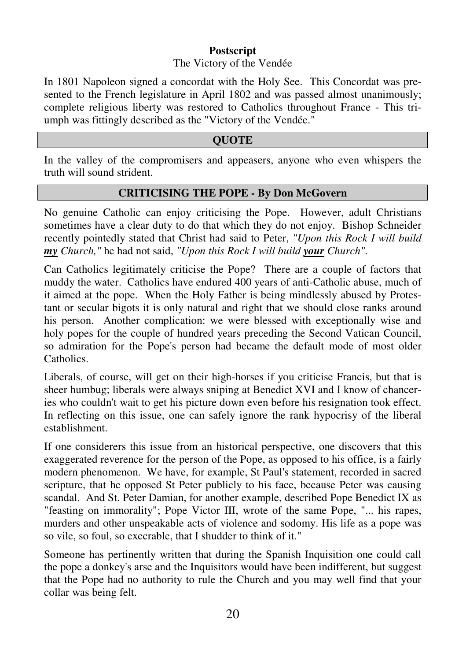# **Postscript**

#### The Victory of the Vendée

In 1801 Napoleon signed a concordat with the Holy See. This Concordat was presented to the French legislature in April 1802 and was passed almost unanimously; complete religious liberty was restored to Catholics throughout France - This triumph was fittingly described as the "Victory of the Vendée."

# **QUOTE**

In the valley of the compromisers and appeasers, anyone who even whispers the truth will sound strident.

#### **CRITICISING THE POPE - By Don McGovern**

No genuine Catholic can enjoy criticising the Pope. However, adult Christians sometimes have a clear duty to do that which they do not enjoy. Bishop Schneider recently pointedly stated that Christ had said to Peter, *"Upon this Rock I will build my Church,"* he had not said, *"Upon this Rock I will build your Church".*

Can Catholics legitimately criticise the Pope? There are a couple of factors that muddy the water. Catholics have endured 400 years of anti-Catholic abuse, much of it aimed at the pope. When the Holy Father is being mindlessly abused by Protestant or secular bigots it is only natural and right that we should close ranks around his person. Another complication: we were blessed with exceptionally wise and holy popes for the couple of hundred years preceding the Second Vatican Council, so admiration for the Pope's person had became the default mode of most older Catholics.

Liberals, of course, will get on their high-horses if you criticise Francis, but that is sheer humbug; liberals were always sniping at Benedict XVI and I know of chanceries who couldn't wait to get his picture down even before his resignation took effect. In reflecting on this issue, one can safely ignore the rank hypocrisy of the liberal establishment.

If one considerers this issue from an historical perspective, one discovers that this exaggerated reverence for the person of the Pope, as opposed to his office, is a fairly modern phenomenon. We have, for example, St Paul's statement, recorded in sacred scripture, that he opposed St Peter publicly to his face, because Peter was causing scandal. And St. Peter Damian, for another example, described Pope Benedict IX as "feasting on immorality"; Pope Victor III, wrote of the same Pope, "... his rapes, murders and other unspeakable acts of violence and sodomy. His life as a pope was so vile, so foul, so execrable, that I shudder to think of it."

Someone has pertinently written that during the Spanish Inquisition one could call the pope a donkey's arse and the Inquisitors would have been indifferent, but suggest that the Pope had no authority to rule the Church and you may well find that your collar was being felt.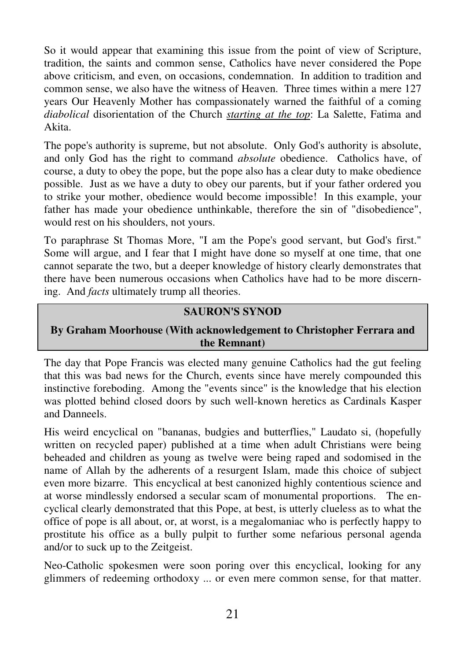So it would appear that examining this issue from the point of view of Scripture, tradition, the saints and common sense, Catholics have never considered the Pope above criticism, and even, on occasions, condemnation. In addition to tradition and common sense, we also have the witness of Heaven. Three times within a mere 127 years Our Heavenly Mother has compassionately warned the faithful of a coming *diabolical* disorientation of the Church *starting at the top*: La Salette, Fatima and Akita.

The pope's authority is supreme, but not absolute. Only God's authority is absolute, and only God has the right to command *absolute* obedience. Catholics have, of course, a duty to obey the pope, but the pope also has a clear duty to make obedience possible. Just as we have a duty to obey our parents, but if your father ordered you to strike your mother, obedience would become impossible! In this example, your father has made your obedience unthinkable, therefore the sin of "disobedience", would rest on his shoulders, not yours.

To paraphrase St Thomas More, "I am the Pope's good servant, but God's first." Some will argue, and I fear that I might have done so myself at one time, that one cannot separate the two, but a deeper knowledge of history clearly demonstrates that there have been numerous occasions when Catholics have had to be more discerning. And *facts* ultimately trump all theories.

## **SAURON'S SYNOD**

#### **By Graham Moorhouse (With acknowledgement to Christopher Ferrara and the Remnant)**

The day that Pope Francis was elected many genuine Catholics had the gut feeling that this was bad news for the Church, events since have merely compounded this instinctive foreboding. Among the "events since" is the knowledge that his election was plotted behind closed doors by such well-known heretics as Cardinals Kasper and Danneels.

His weird encyclical on "bananas, budgies and butterflies," Laudato si, (hopefully written on recycled paper) published at a time when adult Christians were being beheaded and children as young as twelve were being raped and sodomised in the name of Allah by the adherents of a resurgent Islam, made this choice of subject even more bizarre. This encyclical at best canonized highly contentious science and at worse mindlessly endorsed a secular scam of monumental proportions. The encyclical clearly demonstrated that this Pope, at best, is utterly clueless as to what the office of pope is all about, or, at worst, is a megalomaniac who is perfectly happy to prostitute his office as a bully pulpit to further some nefarious personal agenda and/or to suck up to the Zeitgeist.

Neo-Catholic spokesmen were soon poring over this encyclical, looking for any glimmers of redeeming orthodoxy ... or even mere common sense, for that matter.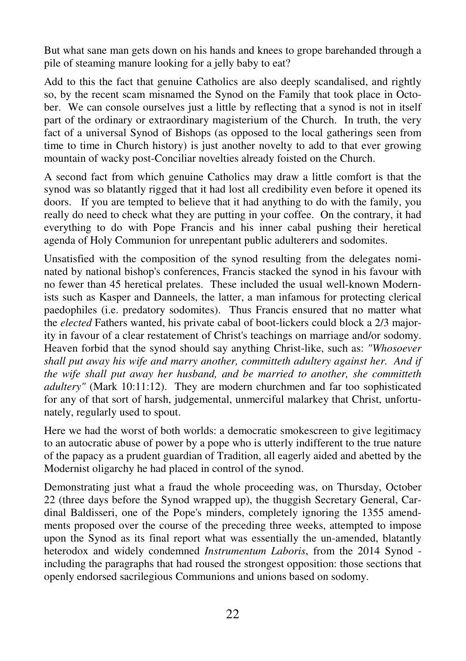But what sane man gets down on his hands and knees to grope barehanded through a pile of steaming manure looking for a jelly baby to eat?

Add to this the fact that genuine Catholics are also deeply scandalised, and rightly so, by the recent scam misnamed the Synod on the Family that took place in October. We can console ourselves just a little by reflecting that a synod is not in itself part of the ordinary or extraordinary magisterium of the Church. In truth, the very fact of a universal Synod of Bishops (as opposed to the local gatherings seen from time to time in Church history) is just another novelty to add to that ever growing mountain of wacky post-Conciliar novelties already foisted on the Church.

A second fact from which genuine Catholics may draw a little comfort is that the synod was so blatantly rigged that it had lost all credibility even before it opened its doors. If you are tempted to believe that it had anything to do with the family, you really do need to check what they are putting in your coffee. On the contrary, it had everything to do with Pope Francis and his inner cabal pushing their heretical agenda of Holy Communion for unrepentant public adulterers and sodomites.

Unsatisfied with the composition of the synod resulting from the delegates nominated by national bishop's conferences, Francis stacked the synod in his favour with no fewer than 45 heretical prelates. These included the usual well-known Modernists such as Kasper and Danneels, the latter, a man infamous for protecting clerical paedophiles (i.e. predatory sodomites). Thus Francis ensured that no matter what the *elected* Fathers wanted, his private cabal of boot-lickers could block a 2/3 majority in favour of a clear restatement of Christ's teachings on marriage and/or sodomy. Heaven forbid that the synod should say anything Christ-like, such as: *"Whosoever shall put away his wife and marry another, committeth adultery against her. And if the wife shall put away her husband, and be married to another, she committeth adultery"* (Mark 10:11:12). They are modern churchmen and far too sophisticated for any of that sort of harsh, judgemental, unmerciful malarkey that Christ, unfortunately, regularly used to spout.

Here we had the worst of both worlds: a democratic smokescreen to give legitimacy to an autocratic abuse of power by a pope who is utterly indifferent to the true nature of the papacy as a prudent guardian of Tradition, all eagerly aided and abetted by the Modernist oligarchy he had placed in control of the synod.

Demonstrating just what a fraud the whole proceeding was, on Thursday, October 22 (three days before the Synod wrapped up), the thuggish Secretary General, Cardinal Baldisseri, one of the Pope's minders, completely ignoring the 1355 amendments proposed over the course of the preceding three weeks, attempted to impose upon the Synod as its final report what was essentially the un-amended, blatantly heterodox and widely condemned *Instrumentum Laboris*, from the 2014 Synod including the paragraphs that had roused the strongest opposition: those sections that openly endorsed sacrilegious Communions and unions based on sodomy.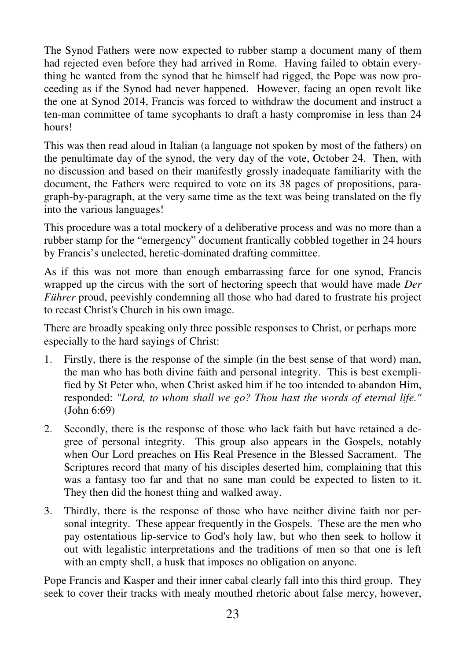The Synod Fathers were now expected to rubber stamp a document many of them had rejected even before they had arrived in Rome. Having failed to obtain everything he wanted from the synod that he himself had rigged, the Pope was now proceeding as if the Synod had never happened. However, facing an open revolt like the one at Synod 2014, Francis was forced to withdraw the document and instruct a ten-man committee of tame sycophants to draft a hasty compromise in less than 24 hours!

This was then read aloud in Italian (a language not spoken by most of the fathers) on the penultimate day of the synod, the very day of the vote, October 24. Then, with no discussion and based on their manifestly grossly inadequate familiarity with the document, the Fathers were required to vote on its 38 pages of propositions, paragraph-by-paragraph, at the very same time as the text was being translated on the fly into the various languages!

This procedure was a total mockery of a deliberative process and was no more than a rubber stamp for the "emergency" document frantically cobbled together in 24 hours by Francis's unelected, heretic-dominated drafting committee.

As if this was not more than enough embarrassing farce for one synod, Francis wrapped up the circus with the sort of hectoring speech that would have made *Der Führer* proud, peevishly condemning all those who had dared to frustrate his project to recast Christ's Church in his own image.

There are broadly speaking only three possible responses to Christ, or perhaps more especially to the hard sayings of Christ:

- 1. Firstly, there is the response of the simple (in the best sense of that word) man, the man who has both divine faith and personal integrity. This is best exemplified by St Peter who, when Christ asked him if he too intended to abandon Him, responded: *"Lord, to whom shall we go? Thou hast the words of eternal life."* (John 6:69)
- 2. Secondly, there is the response of those who lack faith but have retained a degree of personal integrity. This group also appears in the Gospels, notably when Our Lord preaches on His Real Presence in the Blessed Sacrament. The Scriptures record that many of his disciples deserted him, complaining that this was a fantasy too far and that no sane man could be expected to listen to it. They then did the honest thing and walked away.
- 3. Thirdly, there is the response of those who have neither divine faith nor personal integrity. These appear frequently in the Gospels. These are the men who pay ostentatious lip-service to God's holy law, but who then seek to hollow it out with legalistic interpretations and the traditions of men so that one is left with an empty shell, a husk that imposes no obligation on anyone.

Pope Francis and Kasper and their inner cabal clearly fall into this third group. They seek to cover their tracks with mealy mouthed rhetoric about false mercy, however,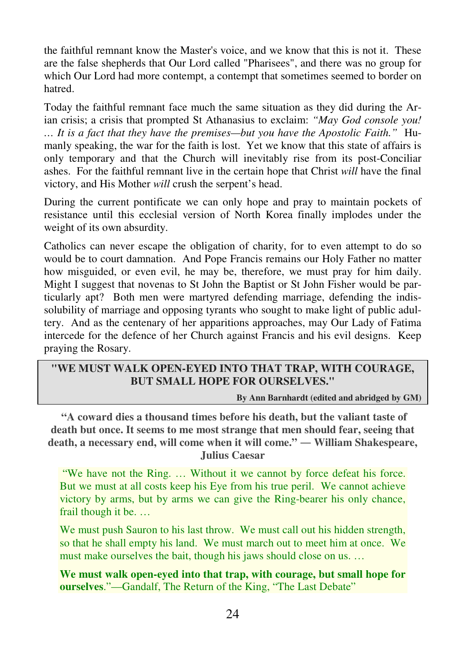the faithful remnant know the Master's voice, and we know that this is not it. These are the false shepherds that Our Lord called "Pharisees", and there was no group for which Our Lord had more contempt, a contempt that sometimes seemed to border on hatred.

Today the faithful remnant face much the same situation as they did during the Arian crisis; a crisis that prompted St Athanasius to exclaim: *"May God console you! … It is a fact that they have the premises—but you have the Apostolic Faith."* Humanly speaking, the war for the faith is lost. Yet we know that this state of affairs is only temporary and that the Church will inevitably rise from its post-Conciliar ashes. For the faithful remnant live in the certain hope that Christ *will* have the final victory, and His Mother *will* crush the serpent's head.

During the current pontificate we can only hope and pray to maintain pockets of resistance until this ecclesial version of North Korea finally implodes under the weight of its own absurdity.

Catholics can never escape the obligation of charity, for to even attempt to do so would be to court damnation. And Pope Francis remains our Holy Father no matter how misguided, or even evil, he may be, therefore, we must pray for him daily. Might I suggest that novenas to St John the Baptist or St John Fisher would be particularly apt? Both men were martyred defending marriage, defending the indissolubility of marriage and opposing tyrants who sought to make light of public adultery. And as the centenary of her apparitions approaches, may Our Lady of Fatima intercede for the defence of her Church against Francis and his evil designs. Keep praying the Rosary.

## **"WE MUST WALK OPEN-EYED INTO THAT TRAP, WITH COURAGE, BUT SMALL HOPE FOR OURSELVES."**

**By Ann Barnhardt (edited and abridged by GM)** 

 **"A coward dies a thousand times before his death, but the valiant taste of death but once. It seems to me most strange that men should fear, seeing that death, a necessary end, will come when it will come." ― William Shakespeare, Julius Caesar** 

 "We have not the Ring. … Without it we cannot by force defeat his force. But we must at all costs keep his Eye from his true peril. We cannot achieve victory by arms, but by arms we can give the Ring-bearer his only chance, frail though it be. …

We must push Sauron to his last throw. We must call out his hidden strength, so that he shall empty his land. We must march out to meet him at once. We must make ourselves the bait, though his jaws should close on us. …

**We must walk open-eyed into that trap, with courage, but small hope for ourselves**."—Gandalf, The Return of the King, "The Last Debate"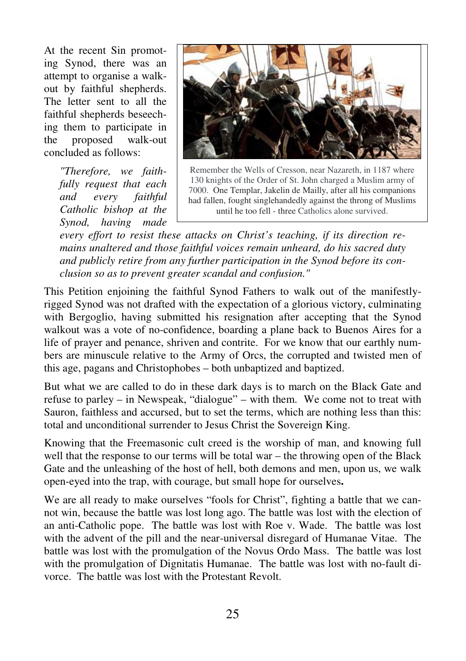At the recent Sin promoting Synod, there was an attempt to organise a walkout by faithful shepherds. The letter sent to all the faithful shepherds beseeching them to participate in the proposed walk-out concluded as follows:

> *"Therefore, we faithfully request that each and every faithful Catholic bishop at the Synod, having made*



Remember the Wells of Cresson, near Nazareth, in 1187 where 130 knights of the Order of St. John charged a Muslim army of 7000. One Templar, Jakelin de Mailly, after all his companions had fallen, fought singlehandedly against the throng of Muslims until he too fell - three Catholics alone survived.

*every effort to resist these attacks on Christ's teaching, if its direction remains unaltered and those faithful voices remain unheard, do his sacred duty and publicly retire from any further participation in the Synod before its conclusion so as to prevent greater scandal and confusion."* 

This Petition enjoining the faithful Synod Fathers to walk out of the manifestlyrigged Synod was not drafted with the expectation of a glorious victory, culminating with Bergoglio, having submitted his resignation after accepting that the Synod walkout was a vote of no-confidence, boarding a plane back to Buenos Aires for a life of prayer and penance, shriven and contrite. For we know that our earthly numbers are minuscule relative to the Army of Orcs, the corrupted and twisted men of this age, pagans and Christophobes – both unbaptized and baptized.

But what we are called to do in these dark days is to march on the Black Gate and refuse to parley – in Newspeak, "dialogue" – with them. We come not to treat with Sauron, faithless and accursed, but to set the terms, which are nothing less than this: total and unconditional surrender to Jesus Christ the Sovereign King.

Knowing that the Freemasonic cult creed is the worship of man, and knowing full well that the response to our terms will be total war – the throwing open of the Black Gate and the unleashing of the host of hell, both demons and men, upon us, we walk open-eyed into the trap, with courage, but small hope for ourselves**.** 

We are all ready to make ourselves "fools for Christ", fighting a battle that we cannot win, because the battle was lost long ago. The battle was lost with the election of an anti-Catholic pope. The battle was lost with Roe v. Wade. The battle was lost with the advent of the pill and the near-universal disregard of Humanae Vitae. The battle was lost with the promulgation of the Novus Ordo Mass. The battle was lost with the promulgation of Dignitatis Humanae. The battle was lost with no-fault divorce. The battle was lost with the Protestant Revolt.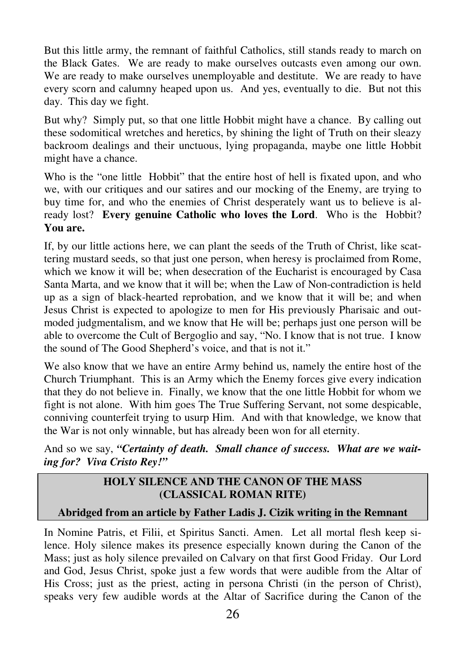But this little army, the remnant of faithful Catholics, still stands ready to march on the Black Gates. We are ready to make ourselves outcasts even among our own. We are ready to make ourselves unemployable and destitute. We are ready to have every scorn and calumny heaped upon us. And yes, eventually to die. But not this day. This day we fight.

But why? Simply put, so that one little Hobbit might have a chance. By calling out these sodomitical wretches and heretics, by shining the light of Truth on their sleazy backroom dealings and their unctuous, lying propaganda, maybe one little Hobbit might have a chance.

Who is the "one little Hobbit" that the entire host of hell is fixated upon, and who we, with our critiques and our satires and our mocking of the Enemy, are trying to buy time for, and who the enemies of Christ desperately want us to believe is already lost? **Every genuine Catholic who loves the Lord**. Who is the Hobbit? **You are.** 

If, by our little actions here, we can plant the seeds of the Truth of Christ, like scattering mustard seeds, so that just one person, when heresy is proclaimed from Rome, which we know it will be; when desecration of the Eucharist is encouraged by Casa Santa Marta, and we know that it will be; when the Law of Non-contradiction is held up as a sign of black-hearted reprobation, and we know that it will be; and when Jesus Christ is expected to apologize to men for His previously Pharisaic and outmoded judgmentalism, and we know that He will be; perhaps just one person will be able to overcome the Cult of Bergoglio and say, "No. I know that is not true. I know the sound of The Good Shepherd's voice, and that is not it."

We also know that we have an entire Army behind us, namely the entire host of the Church Triumphant. This is an Army which the Enemy forces give every indication that they do not believe in. Finally, we know that the one little Hobbit for whom we fight is not alone. With him goes The True Suffering Servant, not some despicable, conniving counterfeit trying to usurp Him. And with that knowledge, we know that the War is not only winnable, but has already been won for all eternity.

And so we say, *"Certainty of death. Small chance of success. What are we waiting for? Viva Cristo Rey!"*

# **HOLY SILENCE AND THE CANON OF THE MASS (CLASSICAL ROMAN RITE)**

# **Abridged from an article by Father Ladis J. Cizik writing in the Remnant**

In Nomine Patris, et Filii, et Spiritus Sancti. Amen. Let all mortal flesh keep silence. Holy silence makes its presence especially known during the Canon of the Mass; just as holy silence prevailed on Calvary on that first Good Friday. Our Lord and God, Jesus Christ, spoke just a few words that were audible from the Altar of His Cross; just as the priest, acting in persona Christi (in the person of Christ), speaks very few audible words at the Altar of Sacrifice during the Canon of the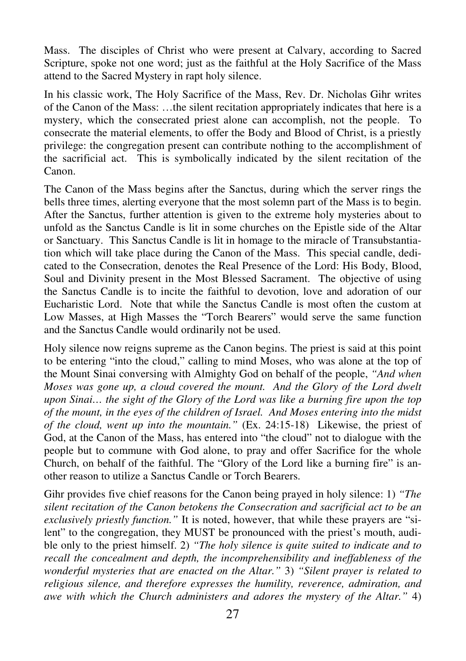Mass. The disciples of Christ who were present at Calvary, according to Sacred Scripture, spoke not one word; just as the faithful at the Holy Sacrifice of the Mass attend to the Sacred Mystery in rapt holy silence.

In his classic work, The Holy Sacrifice of the Mass, Rev. Dr. Nicholas Gihr writes of the Canon of the Mass: …the silent recitation appropriately indicates that here is a mystery, which the consecrated priest alone can accomplish, not the people. To consecrate the material elements, to offer the Body and Blood of Christ, is a priestly privilege: the congregation present can contribute nothing to the accomplishment of the sacrificial act. This is symbolically indicated by the silent recitation of the Canon.

The Canon of the Mass begins after the Sanctus, during which the server rings the bells three times, alerting everyone that the most solemn part of the Mass is to begin. After the Sanctus, further attention is given to the extreme holy mysteries about to unfold as the Sanctus Candle is lit in some churches on the Epistle side of the Altar or Sanctuary. This Sanctus Candle is lit in homage to the miracle of Transubstantiation which will take place during the Canon of the Mass. This special candle, dedicated to the Consecration, denotes the Real Presence of the Lord: His Body, Blood, Soul and Divinity present in the Most Blessed Sacrament. The objective of using the Sanctus Candle is to incite the faithful to devotion, love and adoration of our Eucharistic Lord. Note that while the Sanctus Candle is most often the custom at Low Masses, at High Masses the "Torch Bearers" would serve the same function and the Sanctus Candle would ordinarily not be used.

Holy silence now reigns supreme as the Canon begins. The priest is said at this point to be entering "into the cloud," calling to mind Moses, who was alone at the top of the Mount Sinai conversing with Almighty God on behalf of the people, *"And when Moses was gone up, a cloud covered the mount. And the Glory of the Lord dwelt upon Sinai… the sight of the Glory of the Lord was like a burning fire upon the top of the mount, in the eyes of the children of Israel. And Moses entering into the midst of the cloud, went up into the mountain."* (Ex. 24:15-18) Likewise, the priest of God, at the Canon of the Mass, has entered into "the cloud" not to dialogue with the people but to commune with God alone, to pray and offer Sacrifice for the whole Church, on behalf of the faithful. The "Glory of the Lord like a burning fire" is another reason to utilize a Sanctus Candle or Torch Bearers.

Gihr provides five chief reasons for the Canon being prayed in holy silence: 1) *"The silent recitation of the Canon betokens the Consecration and sacrificial act to be an exclusively priestly function."* It is noted, however, that while these prayers are "silent" to the congregation, they MUST be pronounced with the priest's mouth, audible only to the priest himself. 2) *"The holy silence is quite suited to indicate and to recall the concealment and depth, the incomprehensibility and ineffableness of the wonderful mysteries that are enacted on the Altar."* 3) *"Silent prayer is related to religious silence, and therefore expresses the humility, reverence, admiration, and awe with which the Church administers and adores the mystery of the Altar."* 4)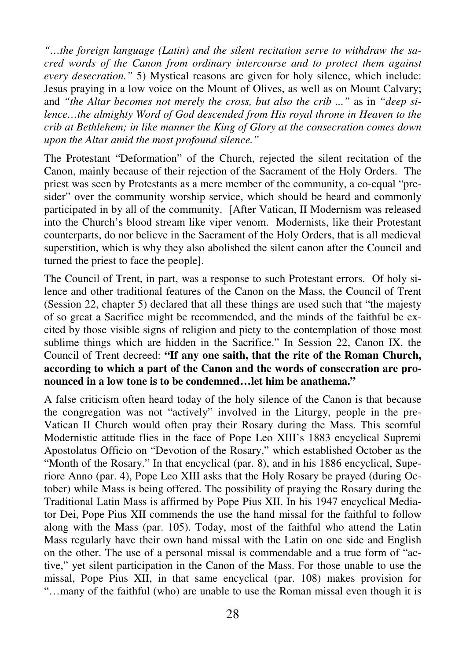*"…the foreign language (Latin) and the silent recitation serve to withdraw the sacred words of the Canon from ordinary intercourse and to protect them against every desecration."* 5) Mystical reasons are given for holy silence, which include: Jesus praying in a low voice on the Mount of Olives, as well as on Mount Calvary; and *"the Altar becomes not merely the cross, but also the crib ..."* as in *"deep silence…the almighty Word of God descended from His royal throne in Heaven to the crib at Bethlehem; in like manner the King of Glory at the consecration comes down upon the Altar amid the most profound silence."* 

The Protestant "Deformation" of the Church, rejected the silent recitation of the Canon, mainly because of their rejection of the Sacrament of the Holy Orders. The priest was seen by Protestants as a mere member of the community, a co-equal "presider" over the community worship service, which should be heard and commonly participated in by all of the community. [After Vatican, II Modernism was released into the Church's blood stream like viper venom. Modernists, like their Protestant counterparts, do nor believe in the Sacrament of the Holy Orders, that is all medieval superstition, which is why they also abolished the silent canon after the Council and turned the priest to face the people].

The Council of Trent, in part, was a response to such Protestant errors. Of holy silence and other traditional features of the Canon on the Mass, the Council of Trent (Session 22, chapter 5) declared that all these things are used such that "the majesty of so great a Sacrifice might be recommended, and the minds of the faithful be excited by those visible signs of religion and piety to the contemplation of those most sublime things which are hidden in the Sacrifice." In Session 22, Canon IX, the Council of Trent decreed: **"If any one saith, that the rite of the Roman Church, according to which a part of the Canon and the words of consecration are pronounced in a low tone is to be condemned…let him be anathema."**

A false criticism often heard today of the holy silence of the Canon is that because the congregation was not "actively" involved in the Liturgy, people in the pre-Vatican II Church would often pray their Rosary during the Mass. This scornful Modernistic attitude flies in the face of Pope Leo XIII's 1883 encyclical Supremi Apostolatus Officio on "Devotion of the Rosary," which established October as the "Month of the Rosary." In that encyclical (par. 8), and in his 1886 encyclical, Superiore Anno (par. 4), Pope Leo XIII asks that the Holy Rosary be prayed (during October) while Mass is being offered. The possibility of praying the Rosary during the Traditional Latin Mass is affirmed by Pope Pius XII. In his 1947 encyclical Mediator Dei, Pope Pius XII commends the use the hand missal for the faithful to follow along with the Mass (par. 105). Today, most of the faithful who attend the Latin Mass regularly have their own hand missal with the Latin on one side and English on the other. The use of a personal missal is commendable and a true form of "active," yet silent participation in the Canon of the Mass. For those unable to use the missal, Pope Pius XII, in that same encyclical (par. 108) makes provision for "…many of the faithful (who) are unable to use the Roman missal even though it is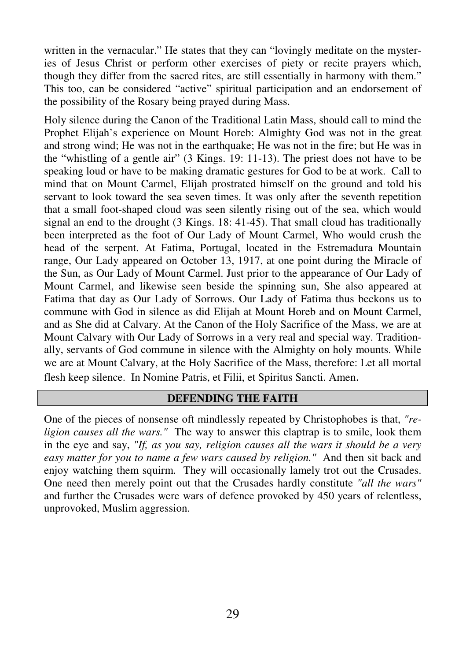written in the vernacular." He states that they can "lovingly meditate on the mysteries of Jesus Christ or perform other exercises of piety or recite prayers which, though they differ from the sacred rites, are still essentially in harmony with them." This too, can be considered "active" spiritual participation and an endorsement of the possibility of the Rosary being prayed during Mass.

Holy silence during the Canon of the Traditional Latin Mass, should call to mind the Prophet Elijah's experience on Mount Horeb: Almighty God was not in the great and strong wind; He was not in the earthquake; He was not in the fire; but He was in the "whistling of a gentle air" (3 Kings. 19: 11-13). The priest does not have to be speaking loud or have to be making dramatic gestures for God to be at work. Call to mind that on Mount Carmel, Elijah prostrated himself on the ground and told his servant to look toward the sea seven times. It was only after the seventh repetition that a small foot-shaped cloud was seen silently rising out of the sea, which would signal an end to the drought (3 Kings. 18: 41-45). That small cloud has traditionally been interpreted as the foot of Our Lady of Mount Carmel, Who would crush the head of the serpent. At Fatima, Portugal, located in the Estremadura Mountain range, Our Lady appeared on October 13, 1917, at one point during the Miracle of the Sun, as Our Lady of Mount Carmel. Just prior to the appearance of Our Lady of Mount Carmel, and likewise seen beside the spinning sun, She also appeared at Fatima that day as Our Lady of Sorrows. Our Lady of Fatima thus beckons us to commune with God in silence as did Elijah at Mount Horeb and on Mount Carmel, and as She did at Calvary. At the Canon of the Holy Sacrifice of the Mass, we are at Mount Calvary with Our Lady of Sorrows in a very real and special way. Traditionally, servants of God commune in silence with the Almighty on holy mounts. While we are at Mount Calvary, at the Holy Sacrifice of the Mass, therefore: Let all mortal flesh keep silence. In Nomine Patris, et Filii, et Spiritus Sancti. Amen.

#### **DEFENDING THE FAITH**

One of the pieces of nonsense oft mindlessly repeated by Christophobes is that, *"religion causes all the wars."* The way to answer this claptrap is to smile, look them in the eye and say, *"If, as you say, religion causes all the wars it should be a very easy matter for you to name a few wars caused by religion."* And then sit back and enjoy watching them squirm. They will occasionally lamely trot out the Crusades. One need then merely point out that the Crusades hardly constitute *"all the wars"* and further the Crusades were wars of defence provoked by 450 years of relentless, unprovoked, Muslim aggression.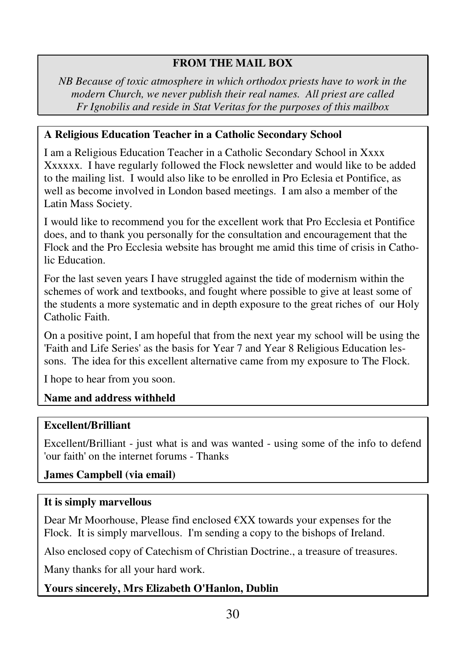# **FROM THE MAIL BOX**

*NB Because of toxic atmosphere in which orthodox priests have to work in the modern Church, we never publish their real names. All priest are called Fr Ignobilis and reside in Stat Veritas for the purposes of this mailbox* 

# **A Religious Education Teacher in a Catholic Secondary School**

I am a Religious Education Teacher in a Catholic Secondary School in Xxxx Xxxxxx. I have regularly followed the Flock newsletter and would like to be added to the mailing list. I would also like to be enrolled in Pro Eclesia et Pontifice, as well as become involved in London based meetings. I am also a member of the Latin Mass Society.

I would like to recommend you for the excellent work that Pro Ecclesia et Pontifice does, and to thank you personally for the consultation and encouragement that the Flock and the Pro Ecclesia website has brought me amid this time of crisis in Catholic Education.

For the last seven years I have struggled against the tide of modernism within the schemes of work and textbooks, and fought where possible to give at least some of the students a more systematic and in depth exposure to the great riches of our Holy Catholic Faith.

On a positive point, I am hopeful that from the next year my school will be using the 'Faith and Life Series' as the basis for Year 7 and Year 8 Religious Education lessons. The idea for this excellent alternative came from my exposure to The Flock.

I hope to hear from you soon.

# **Name and address withheld**

#### **Excellent/Brilliant**

Excellent/Brilliant - just what is and was wanted - using some of the info to defend 'our faith' on the internet forums - Thanks

# **James Campbell (via email)**

#### **It is simply marvellous**

Dear Mr Moorhouse, Please find enclosed  $\notin$ XX towards your expenses for the Flock. It is simply marvellous. I'm sending a copy to the bishops of Ireland.

Also enclosed copy of Catechism of Christian Doctrine., a treasure of treasures.

Many thanks for all your hard work.

# **Yours sincerely, Mrs Elizabeth O'Hanlon, Dublin**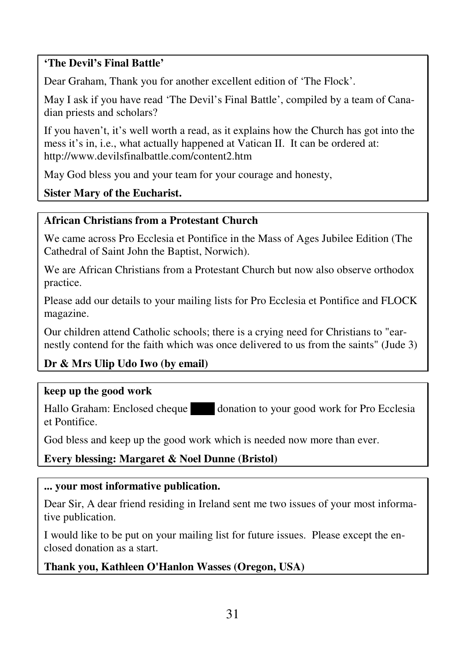# **'The Devil's Final Battle'**

Dear Graham, Thank you for another excellent edition of 'The Flock'.

May I ask if you have read 'The Devil's Final Battle', compiled by a team of Canadian priests and scholars?

If you haven't, it's well worth a read, as it explains how the Church has got into the mess it's in, i.e., what actually happened at Vatican II. It can be ordered at: http://www.devilsfinalbattle.com/content2.htm

May God bless you and your team for your courage and honesty,

**Sister Mary of the Eucharist.** 

# **African Christians from a Protestant Church**

We came across Pro Ecclesia et Pontifice in the Mass of Ages Jubilee Edition (The Cathedral of Saint John the Baptist, Norwich).

We are African Christians from a Protestant Church but now also observe orthodox practice.

Please add our details to your mailing lists for Pro Ecclesia et Pontifice and FLOCK magazine.

Our children attend Catholic schools; there is a crying need for Christians to "earnestly contend for the faith which was once delivered to us from the saints" (Jude 3)

# **Dr & Mrs Ulip Udo Iwo (by email)**

#### **keep up the good work**

Hallo Graham: Enclosed cheque donation to your good work for Pro Ecclesia et Pontifice.

God bless and keep up the good work which is needed now more than ever.

**Every blessing: Margaret & Noel Dunne (Bristol)** 

#### **... your most informative publication.**

Dear Sir, A dear friend residing in Ireland sent me two issues of your most informative publication.

I would like to be put on your mailing list for future issues. Please except the enclosed donation as a start.

# **Thank you, Kathleen O'Hanlon Wasses (Oregon, USA)**